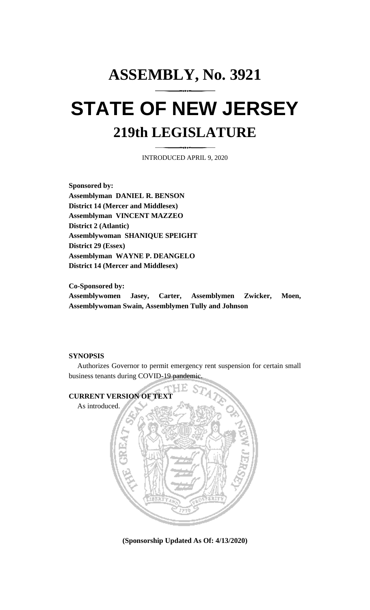## **ASSEMBLY, No. 3921 STATE OF NEW JERSEY 219th LEGISLATURE**

INTRODUCED APRIL 9, 2020

**Sponsored by: Assemblyman DANIEL R. BENSON District 14 (Mercer and Middlesex) Assemblyman VINCENT MAZZEO District 2 (Atlantic) Assemblywoman SHANIQUE SPEIGHT District 29 (Essex) Assemblyman WAYNE P. DEANGELO District 14 (Mercer and Middlesex)**

**Co-Sponsored by: Assemblywomen Jasey, Carter, Assemblymen Zwicker, Moen, Assemblywoman Swain, Assemblymen Tully and Johnson**

## **SYNOPSIS**

Authorizes Governor to permit emergency rent suspension for certain small business tenants during COVID-19 pandemic.



**(Sponsorship Updated As Of: 4/13/2020)**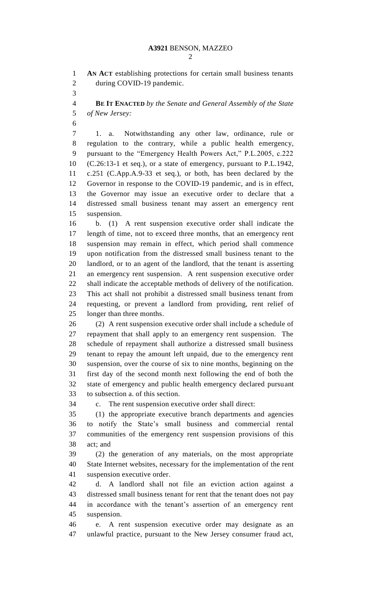**AN ACT** establishing protections for certain small business tenants during COVID-19 pandemic.

 **BE IT ENACTED** *by the Senate and General Assembly of the State of New Jersey:*

 1. a. Notwithstanding any other law, ordinance, rule or regulation to the contrary, while a public health emergency, pursuant to the "Emergency Health Powers Act," P.L.2005, c.222 (C.26:13-1 et seq.), or a state of emergency, pursuant to P.L.1942, c.251 (C.App.A.9-33 et seq.), or both, has been declared by the Governor in response to the COVID-19 pandemic, and is in effect, the Governor may issue an executive order to declare that a distressed small business tenant may assert an emergency rent suspension.

 b. (1) A rent suspension executive order shall indicate the length of time, not to exceed three months, that an emergency rent suspension may remain in effect, which period shall commence upon notification from the distressed small business tenant to the landlord, or to an agent of the landlord, that the tenant is asserting an emergency rent suspension. A rent suspension executive order shall indicate the acceptable methods of delivery of the notification. This act shall not prohibit a distressed small business tenant from requesting, or prevent a landlord from providing, rent relief of longer than three months.

 (2) A rent suspension executive order shall include a schedule of repayment that shall apply to an emergency rent suspension. The schedule of repayment shall authorize a distressed small business tenant to repay the amount left unpaid, due to the emergency rent suspension, over the course of six to nine months, beginning on the first day of the second month next following the end of both the state of emergency and public health emergency declared pursuant to subsection a. of this section.

c. The rent suspension executive order shall direct:

 (1) the appropriate executive branch departments and agencies to notify the State's small business and commercial rental communities of the emergency rent suspension provisions of this act; and

 (2) the generation of any materials, on the most appropriate State Internet websites, necessary for the implementation of the rent suspension executive order.

 d. A landlord shall not file an eviction action against a distressed small business tenant for rent that the tenant does not pay in accordance with the tenant's assertion of an emergency rent suspension.

 e. A rent suspension executive order may designate as an unlawful practice, pursuant to the New Jersey consumer fraud act,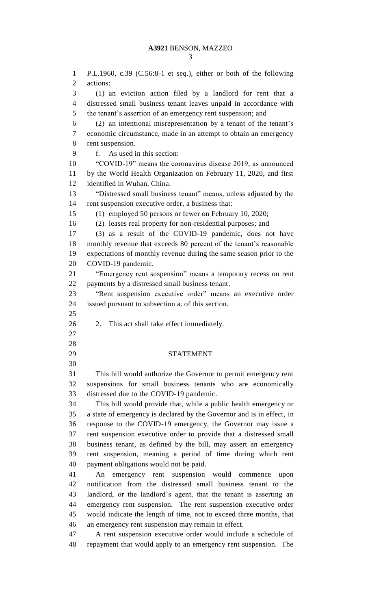P.L.1960, c.39 (C.56:8-1 et seq.), either or both of the following actions: (1) an eviction action filed by a landlord for rent that a distressed small business tenant leaves unpaid in accordance with the tenant's assertion of an emergency rent suspension; and (2) an intentional misrepresentation by a tenant of the tenant's economic circumstance, made in an attempt to obtain an emergency rent suspension. f. As used in this section: "COVID-19" means the coronavirus disease 2019, as announced by the World Health Organization on February 11, 2020, and first identified in Wuhan, China. "Distressed small business tenant" means, unless adjusted by the rent suspension executive order, a business that: (1) employed 50 persons or fewer on February 10, 2020; (2) leases real property for non-residential purposes; and (3) as a result of the COVID-19 pandemic, does not have monthly revenue that exceeds 80 percent of the tenant's reasonable expectations of monthly revenue during the same season prior to the COVID-19 pandemic. "Emergency rent suspension" means a temporary recess on rent payments by a distressed small business tenant. "Rent suspension executive order" means an executive order issued pursuant to subsection a. of this section. 2. This act shall take effect immediately. STATEMENT This bill would authorize the Governor to permit emergency rent suspensions for small business tenants who are economically distressed due to the COVID-19 pandemic. This bill would provide that, while a public health emergency or a state of emergency is declared by the Governor and is in effect, in response to the COVID-19 emergency, the Governor may issue a rent suspension executive order to provide that a distressed small business tenant, as defined by the bill, may assert an emergency rent suspension, meaning a period of time during which rent payment obligations would not be paid. An emergency rent suspension would commence upon notification from the distressed small business tenant to the landlord, or the landlord's agent, that the tenant is asserting an emergency rent suspension. The rent suspension executive order would indicate the length of time, not to exceed three months, that an emergency rent suspension may remain in effect. A rent suspension executive order would include a schedule of repayment that would apply to an emergency rent suspension. The